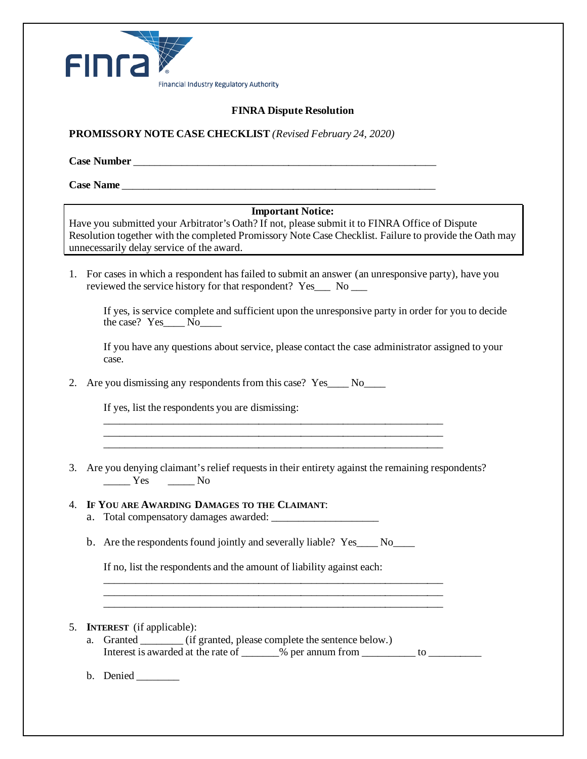

## **FINRA Dispute Resolution**

**PROMISSORY NOTE CASE CHECKLIST** *(Revised February 24, 2020)*

**Case Number and**  $\overline{C}$  **Case Number** *Let us a set of the set of the set of the set of the set of the set of the set of the set of the set of the set of the set of the set of the set of the set of the set of the set* 

**Case Name and the contract of the contract of the contract of the contract of the contract of the contract of the contract of the contract of the contract of the contract of the contract of the contract of the contract** 

#### **Important Notice:**

Have you submitted your Arbitrator's Oath? If not, please submit it to FINRA Office of Dispute Resolution together with the completed Promissory Note Case Checklist. Failure to provide the Oath may unnecessarily delay service of the award.

1. For cases in which a respondent has failed to submit an answer (an unresponsive party), have you reviewed the service history for that respondent? Yes No

If yes, is service complete and sufficient upon the unresponsive party in order for you to decide the case? Yes No

If you have any questions about service, please contact the case administrator assigned to your case.

2. Are you dismissing any respondents from this case? Yes\_\_\_\_ No\_\_\_\_

If yes, list the respondents you are dismissing:

3. Are you denying claimant's relief requests in their entirety against the remaining respondents? \_\_\_\_\_ Yes \_\_\_\_\_ No

\_\_\_\_\_\_\_\_\_\_\_\_\_\_\_\_\_\_\_\_\_\_\_\_\_\_\_\_\_\_\_\_\_\_\_\_\_\_\_\_\_\_\_\_\_\_\_\_\_\_\_\_\_\_\_\_\_\_\_\_\_\_\_\_ \_\_\_\_\_\_\_\_\_\_\_\_\_\_\_\_\_\_\_\_\_\_\_\_\_\_\_\_\_\_\_\_\_\_\_\_\_\_\_\_\_\_\_\_\_\_\_\_\_\_\_\_\_\_\_\_\_\_\_\_\_\_\_\_ \_\_\_\_\_\_\_\_\_\_\_\_\_\_\_\_\_\_\_\_\_\_\_\_\_\_\_\_\_\_\_\_\_\_\_\_\_\_\_\_\_\_\_\_\_\_\_\_\_\_\_\_\_\_\_\_\_\_\_\_\_\_\_\_

### 4. **IF YOU ARE AWARDING DAMAGES TO THE CLAIMANT**:

- a. Total compensatory damages awarded:
- b. Are the respondents found jointly and severally liable? Yes No

If no, list the respondents and the amount of liability against each:

#### 5. **INTEREST** (if applicable):

a. Granted \_\_\_\_\_\_\_\_ (if granted, please complete the sentence below.) Interest is awarded at the rate of  $\frac{1}{2}$  % per annum from  $\frac{1}{2}$  to  $\frac{1}{2}$ 

\_\_\_\_\_\_\_\_\_\_\_\_\_\_\_\_\_\_\_\_\_\_\_\_\_\_\_\_\_\_\_\_\_\_\_\_\_\_\_\_\_\_\_\_\_\_\_\_\_\_\_\_\_\_\_\_\_\_\_\_\_\_\_\_ \_\_\_\_\_\_\_\_\_\_\_\_\_\_\_\_\_\_\_\_\_\_\_\_\_\_\_\_\_\_\_\_\_\_\_\_\_\_\_\_\_\_\_\_\_\_\_\_\_\_\_\_\_\_\_\_\_\_\_\_\_\_\_\_ \_\_\_\_\_\_\_\_\_\_\_\_\_\_\_\_\_\_\_\_\_\_\_\_\_\_\_\_\_\_\_\_\_\_\_\_\_\_\_\_\_\_\_\_\_\_\_\_\_\_\_\_\_\_\_\_\_\_\_\_\_\_\_\_

b. Denied \_\_\_\_\_\_\_\_